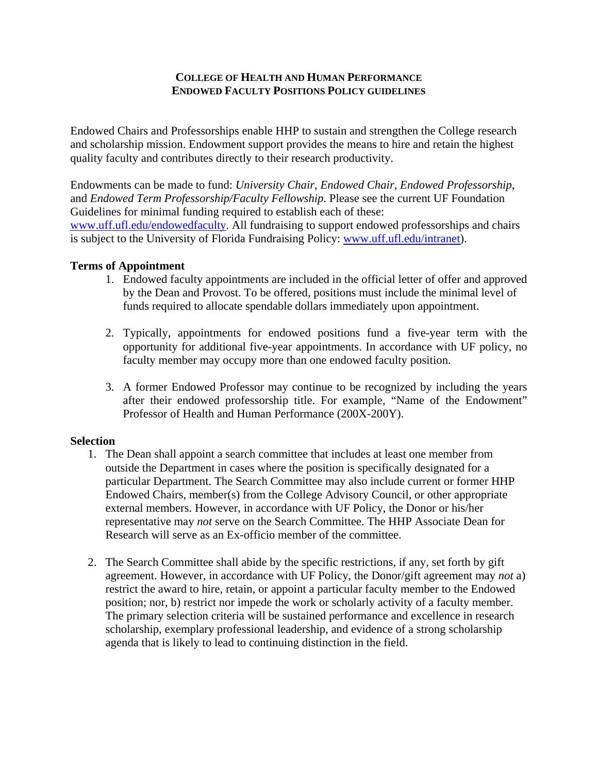## **COLLEGE OF HEALTH AND HUMAN PERFORMANCE ENDOWED FACULTY POSITIONS POLICY GUIDELINES**

Endowed Chairs and Professorships enable HHP to sustain and strengthen the College research and scholarship mission. Endowment support provides the means to hire and retain the highest quality faculty and contributes directly to their research productivity.

Endowments can be made to fund: *University Chair*, *Endowed Chair*, *Endowed Professorship*, and *Endowed Term Professorship/Faculty Fellowship*. Please see the current UF Foundation Guidelines for minimal funding required to establish each of these:

[www.uff.ufl.edu/endowedfaculty.](http://www.uff.ufl.edu/endowedfaculty) All fundraising to support endowed professorships and chairs is subject to the University of Florida Fundraising Policy: [www.uff.ufl.edu/intranet](http://www.uff.ufl.edu/intranet)).

## **Terms of Appointment**

- 1. Endowed faculty appointments are included in the official letter of offer and approved by the Dean and Provost. To be offered, positions must include the minimal level of funds required to allocate spendable dollars immediately upon appointment.
- 2. Typically, appointments for endowed positions fund a five-year term with the opportunity for additional five-year appointments. In accordance with UF policy, no faculty member may occupy more than one endowed faculty position.
- 3. A former Endowed Professor may continue to be recognized by including the years after their endowed professorship title. For example, "Name of the Endowment" Professor of Health and Human Performance (200X-200Y).

## **Selection**

- 1. The Dean shall appoint a search committee that includes at least one member from outside the Department in cases where the position is specifically designated for a particular Department. The Search Committee may also include current or former HHP Endowed Chairs, member(s) from the College Advisory Council, or other appropriate external members. However, in accordance with UF Policy, the Donor or his/her representative may *not* serve on the Search Committee. The HHP Associate Dean for Research will serve as an Ex-officio member of the committee.
- 2. The Search Committee shall abide by the specific restrictions, if any, set forth by gift agreement. However, in accordance with UF Policy, the Donor/gift agreement may *not* a) restrict the award to hire, retain, or appoint a particular faculty member to the Endowed position; nor, b) restrict nor impede the work or scholarly activity of a faculty member. The primary selection criteria will be sustained performance and excellence in research scholarship, exemplary professional leadership, and evidence of a strong scholarship agenda that is likely to lead to continuing distinction in the field.